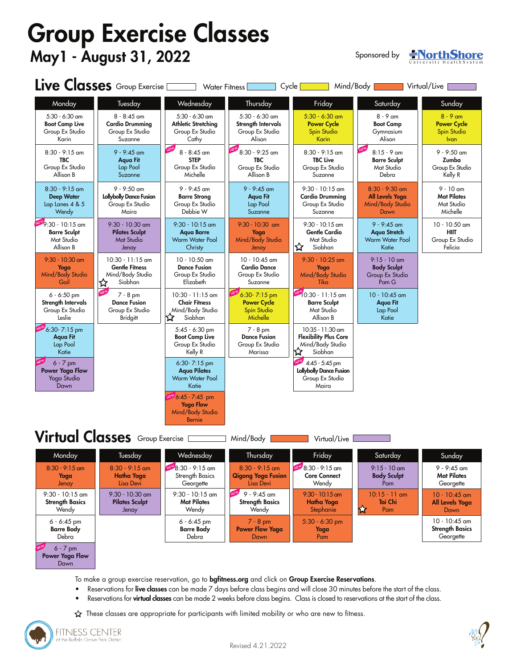# Group Exercise Classes May1 - August 31, 2022

Sponsored by



|                                                                                       | Live Classes Group Exercise [                                                   | <b>Water Fitness</b>                                                       |                                                                          | Mind/Body<br>Cycle                                                                      |                                                                    | Virtual/Live                                                   |
|---------------------------------------------------------------------------------------|---------------------------------------------------------------------------------|----------------------------------------------------------------------------|--------------------------------------------------------------------------|-----------------------------------------------------------------------------------------|--------------------------------------------------------------------|----------------------------------------------------------------|
| Monday                                                                                | Tuesday                                                                         | Wednesday                                                                  | Thursday                                                                 | Friday                                                                                  | Saturday                                                           | Sunday                                                         |
| 5:30 - 6:30 am<br><b>Boot Camp Live</b><br>Group Ex Studio<br>Karin                   | $8 - 8:45$ am<br><b>Cardio Drummina</b><br>Group Ex Studio<br>Suzanne           | 5:30 - 6:30 am<br>Athletic Stretching<br>Group Ex Studio<br>Cathy          | 5:30 - 6:30 am<br>Strength Intervals<br>Group Ex Studio<br>Alison        | $5:30 - 6:30$ am<br><b>Power Cycle</b><br>Spin Studio<br>Karin                          | $8 - 9$ am<br><b>Boot Camp</b><br>Gymnasium<br>Alison              | $8 - 9$ am<br><b>Power Cycle</b><br>Spin Studio<br><b>Ivan</b> |
| $8:30 - 9:15$ am<br><b>TBC</b><br>Group Ex Studio<br>Allison B                        | $9 - 9:45$ am<br>Aqua Fit<br>Lap Pool<br>Suzanne                                | $8 - 8:45$ am<br><b>STEP</b><br>Group Ex Studio<br>Michelle                | 8:30 - 9:25 am<br><b>TBC</b><br>Group Ex Studio<br>Allison B             | $8:30 - 9:15$ am<br><b>TBC Live</b><br>Group Ex Studio<br>Suzanne                       | NEY<br>$8:15 - 9$ am<br><b>Barre Sculpt</b><br>Mat Studio<br>Debra | $9 - 9:50$ am<br>Zumba<br>Group Ex Studio<br>Kelly R           |
| $8:30 - 9:15$ am<br><b>Deep Water</b><br>Lap Lanes 4 & 5<br>Wendy                     | $9 - 9:50$ am<br>Lollybolly Dance Fusion<br>Group Ex Studio<br>Maira            | $9 - 9:45$ am<br><b>Barre Strong</b><br>Group Ex Studio<br>Debbie W        | $9 - 9:45$ am<br>Aqua Fit<br>Lap Pool<br>Suzanne                         | $9:30 - 10:15$ am<br><b>Cardio Drumming</b><br>Group Ex Studio<br>Suzanne               | $8:30 - 9:30$ am<br>All Levels Yoga<br>Mind/Body Studio<br>Dawn    | $9 - 10$ am<br><b>Mat Pilates</b><br>Mat Studio<br>Michelle    |
| $N$ <sup>EV</sup> $9:30 - 10:15$ am<br><b>Barre Sculpt</b><br>Mat Studio<br>Allison B | 9:30 - 10:30 am<br>Pilates Sculpt<br>Mat Studio<br>Jenay                        | $9:30 - 10:15$ am<br><b>Agua Barre</b><br>Warm Water Pool<br>Christy       | $9:30 - 10:30$ am<br>Yoga<br>Mind/Body Studio<br>Jenay                   | $9:30 - 10:15$ am<br><b>Gentle Cardio</b><br>Mat Studio<br>Siobhan<br>エኛ                | $9 - 9:45$ am<br>Agua Stretch<br>Warm Water Pool<br>Katie          | 10 - 10:50 am<br><b>HIIT</b><br>Group Ex Studio<br>Felicia     |
| $9:30 - 10:30$ am<br>Yoga<br>Mind/Body Studio<br>Gail                                 | $10:30 - 11:15$ am<br><b>Gentle Fitness</b><br>Mind/Body Studio<br>Siobhan<br>☆ | 10 - 10:50 am<br><b>Dance Fusion</b><br>Group Ex Studio<br>Elizabeth       | 10 - 10:45 am<br><b>Cardio Dance</b><br>Group Ex Studio<br>Suzanne       | $9:30 - 10:25$ am<br>Yoga<br>Mind/Body Studio<br>Tika                                   | $9:15 - 10$ am<br><b>Body Sculpt</b><br>Group Ex Studio<br>Pam G   |                                                                |
| $6 - 6:50$ pm<br>Strength Intervals<br>Group Ex Studio<br>Leslie                      | NEW<br>$7 - 8$ pm<br><b>Dance Fusion</b><br>Group Ex Studio<br><b>Bridgitt</b>  | $10:30 - 11:15$ am<br><b>Chair Fitness</b><br>Mind/Body Studio<br>Siobhan  | $6:30 - 7:15$ pm<br><b>Power Cycle</b><br><b>Spin Studio</b><br>Michelle | $\frac{\text{NEN}}{10:30 - 11:15}$ am<br><b>Barre Sculpt</b><br>Mat Studio<br>Allison B | 10 - 10:45 am<br><b>Aqua Fit</b><br>Lap Pool<br>Katie              |                                                                |
| 6:30-7:15 pm<br>Aqua Fit<br>Lap Pool<br>Katie                                         |                                                                                 | $5:45 - 6:30$ pm<br><b>Boot Camp Live</b><br>Group Ex Studio<br>Kelly R    | $7 - 8$ pm<br><b>Dance Fusion</b><br>Group Ex Studio<br>Marissa          | 10:35 - 11:30 am<br><b>Flexibility Plus Core</b><br>Mind/Body Studio<br>Siobhan<br>ᠮ    |                                                                    |                                                                |
| $6 - 7$ pm<br>Power Yoga Flow<br>Yoga Studio<br>Dawn                                  |                                                                                 | 6:30-7:15 pm<br><b>Agua Pilates</b><br>Warm Water Pool<br>Katie            |                                                                          | 4:45 - 5:45 pm<br><b>Lollybolly Dance Fusion</b><br>Group Ex Studio<br>Maira            |                                                                    |                                                                |
|                                                                                       |                                                                                 | EW 6:45 - 7:45 pm<br><b>Yoga Flow</b><br>Mind/Body Studio<br><b>Bernie</b> |                                                                          |                                                                                         |                                                                    |                                                                |
|                                                                                       | Virtual Classes Group Exercise                                                  |                                                                            | Mind/Body                                                                | Virtual/Live                                                                            |                                                                    |                                                                |
| <u><i>I</i>vioriacy</u>                                                               | iuesaay                                                                         | vveanesaay                                                                 | Thursday                                                                 | Friday                                                                                  | <b>July</b> day                                                    | Sunday                                                         |
| $8:30 - 9:15$ am<br>Yoga<br>Jenay                                                     | $8:30 - 9:15$ am<br>Hatha Yoga<br>Lisa Devi                                     | NEW 8:30 - 9:15 am<br>Strength Basics<br>Georgette                         | $8:30 - 9:15$ am<br><b>Qigong Yoga Fusion</b><br>Lisa Devi               | NEW 8:30 - 9:15 am<br><b>Core Connect</b><br>Wendy                                      | $9:15 - 10$ am<br><b>Body Sculpt</b><br>Pam                        | $9 - 9:45$ am<br><b>Mat Pilates</b><br>Georgette               |
| $9:30 - 10:15$ am<br><b>Strength Basics</b><br>Wendy                                  | $9:30 - 10:30$ am<br><b>Pilates Sculpt</b><br>Jenay                             | $9:30 - 10:15$ am<br><b>Mat Pilates</b><br>Wendy                           | $9 - 9:45$ am<br><b>Strength Basics</b><br>Wendy                         | $9:30 - 10:15$ am<br>Hatha Yoga<br>Stephanie                                            | $10:15 - 11$ am<br>Tai Chi<br>Pam<br>73                            | $10 - 10:45$ am<br>All Levels Yoga<br>Dawn                     |
| $6 - 6:45$ pm<br><b>Barre Body</b><br>Debra<br>$6 - 7$ pm                             |                                                                                 | $6 - 6:45$ pm<br><b>Barre Body</b><br>Debra                                | $7 - 8$ pm<br><b>Power Flow Yoga</b><br>Dawn                             | 5:30 - 6:30 pm<br>Yoga<br>Pam                                                           |                                                                    | $10 - 10:45$ am<br><b>Strength Basics</b><br>Georgette         |

To make a group exercise reservation, go to bgfitness.org and click on Group Exercise Reservations.

- Reservations for live classes can be made 7 days before class begins and will close 30 minutes before the start of the class.
- Reservations for **virtual classes** can be made 2 weeks before class begins. Class is closed to reservations at the start of the class.
- $\hat{\mathbf{\chi}}$  These classes are appropriate for participants with limited mobility or who are new to fitness.



Power Yoga Flow Dawn